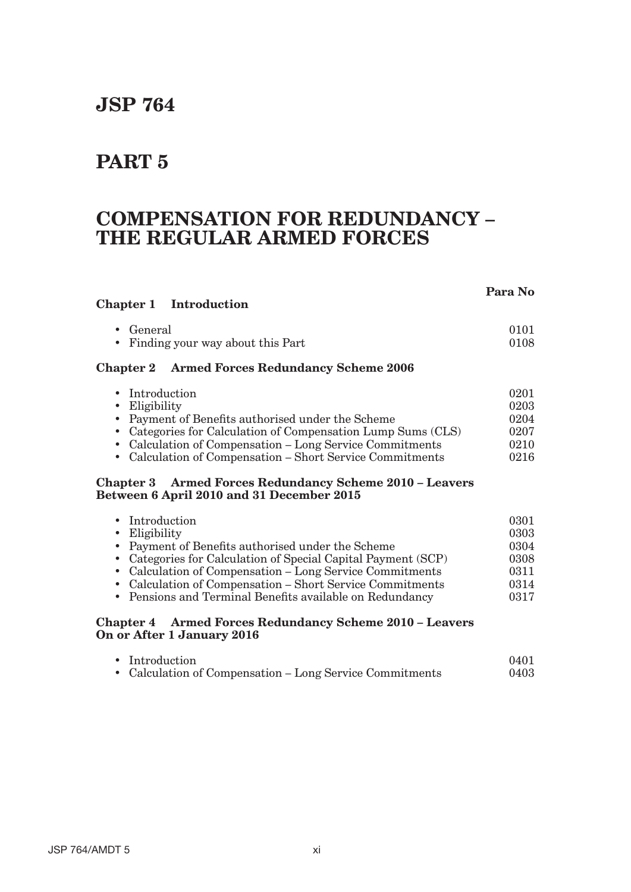# **JSP 764**

## **PART 5**

## **COMPENSATION FOR REDUNDANCY – THE REGULAR ARMED FORCES**

## **Para No**

## **Chapter 1 Introduction**

| • General                          | 0101 |
|------------------------------------|------|
| • Finding your way about this Part | 0108 |

#### **Chapter 2 Armed Forces Redundancy Scheme 2006**

| • Introduction                                               | 0201 |
|--------------------------------------------------------------|------|
| $\bullet$ Eligibility                                        | 0203 |
| • Payment of Benefits authorised under the Scheme            | 0204 |
| • Categories for Calculation of Compensation Lump Sums (CLS) | 0207 |
| • Calculation of Compensation – Long Service Commitments     | 0210 |
| • Calculation of Compensation – Short Service Commitments    | 0216 |

#### **Chapter 3 Armed Forces Redundancy Scheme 2010 – Leavers Between 6 April 2010 and 31 December 2015**

| • Introduction                                                | 0301 |
|---------------------------------------------------------------|------|
| $\bullet$ Eligibility                                         | 0303 |
| • Payment of Benefits authorised under the Scheme             | 0304 |
| • Categories for Calculation of Special Capital Payment (SCP) | 0308 |
| • Calculation of Compensation – Long Service Commitments      | 0311 |
| • Calculation of Compensation - Short Service Commitments     | 0314 |
| • Pensions and Terminal Benefits available on Redundancy      | 0317 |
|                                                               |      |

#### **Chapter 4 Armed Forces Redundancy Scheme 2010 – Leavers On or After 1 January 2016**

| • Introduction                                           | 0401 |
|----------------------------------------------------------|------|
| • Calculation of Compensation – Long Service Commitments | 0403 |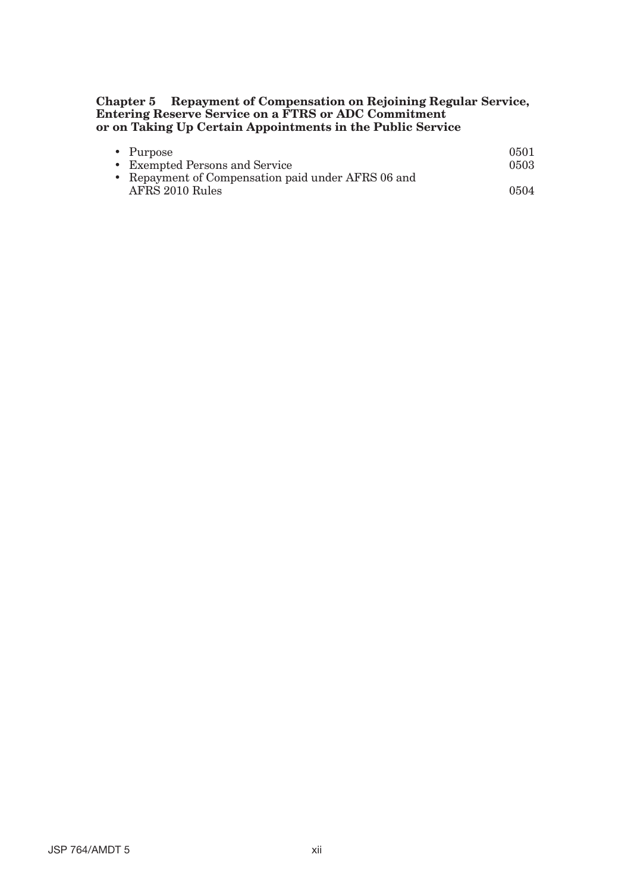#### **Chapter 5 Repayment of Compensation on Rejoining Regular Service, Entering Reserve Service on a FTRS or ADC Commitment or on Taking Up Certain Appointments in the Public Service**

| • Purpose                                          | 0501 |
|----------------------------------------------------|------|
| • Exempted Persons and Service                     | 0503 |
| • Repayment of Compensation paid under AFRS 06 and |      |
| AFRS 2010 Rules                                    | 0504 |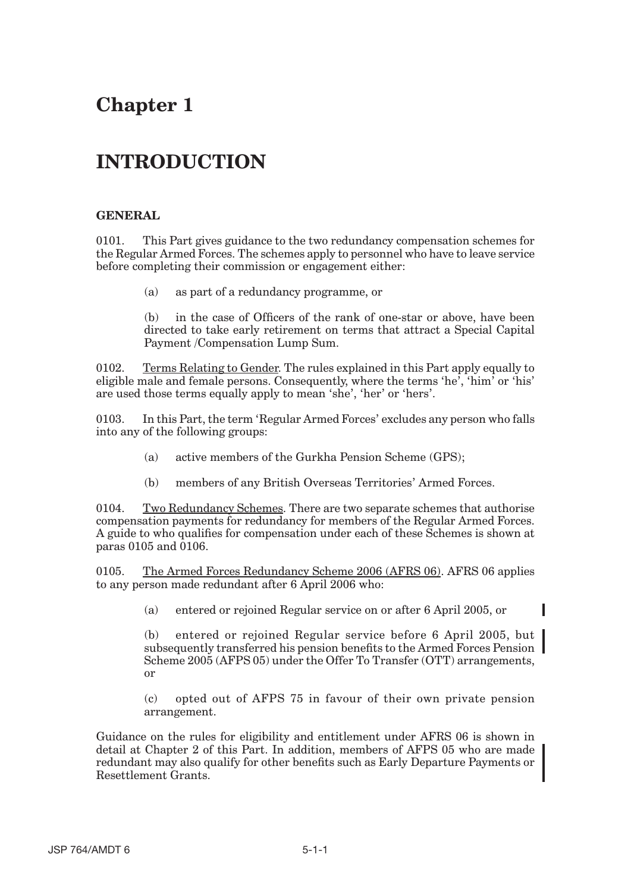# **Chapter 1**

# **INTRODUCTION**

### **GENERAL**

0101. This Part gives guidance to the two redundancy compensation schemes for the Regular Armed Forces. The schemes apply to personnel who have to leave service before completing their commission or engagement either:

(a) as part of a redundancy programme, or

(b) in the case of Officers of the rank of one-star or above, have been directed to take early retirement on terms that attract a Special Capital Payment /Compensation Lump Sum.

0102. Terms Relating to Gender. The rules explained in this Part apply equally to eligible male and female persons. Consequently, where the terms 'he', 'him' or 'his' are used those terms equally apply to mean 'she', 'her' or 'hers'.

0103. In this Part, the term 'Regular Armed Forces' excludes any person who falls into any of the following groups:

- (a) active members of the Gurkha Pension Scheme (GPS);
- (b) members of any British Overseas Territories' Armed Forces.

0104. Two Redundancy Schemes. There are two separate schemes that authorise compensation payments for redundancy for members of the Regular Armed Forces. A guide to who qualifies for compensation under each of these Schemes is shown at paras 0105 and 0106.

0105. The Armed Forces Redundancy Scheme 2006 (AFRS 06). AFRS 06 applies to any person made redundant after 6 April 2006 who:

(a) entered or rejoined Regular service on or after 6 April 2005, or

(b) entered or rejoined Regular service before 6 April 2005, but subsequently transferred his pension benefits to the Armed Forces Pension Scheme 2005 (AFPS 05) under the Offer To Transfer (OTT) arrangements, or

(c) opted out of AFPS 75 in favour of their own private pension arrangement.

Guidance on the rules for eligibility and entitlement under AFRS 06 is shown in detail at Chapter 2 of this Part. In addition, members of AFPS 05 who are made redundant may also qualify for other benefits such as Early Departure Payments or Resettlement Grants.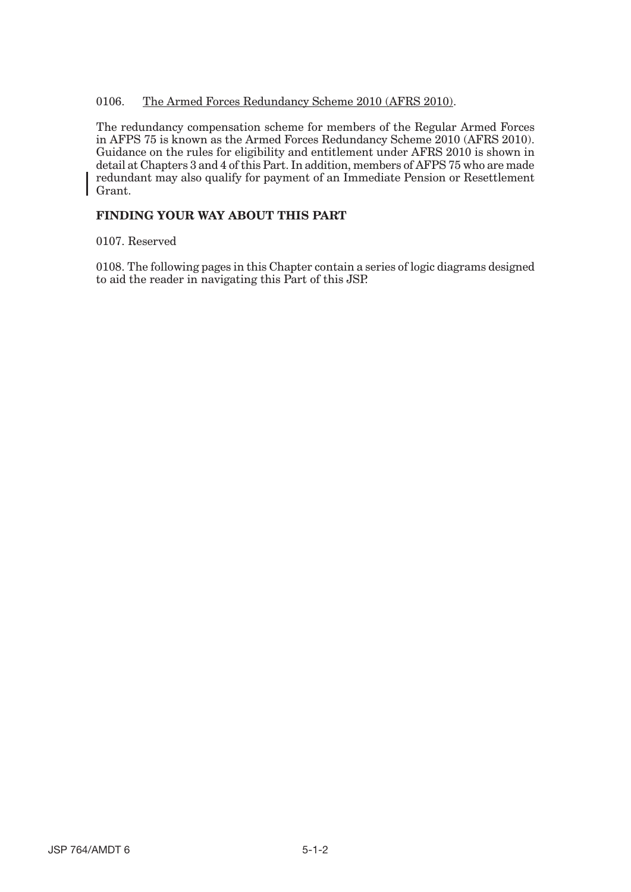#### 0106. The Armed Forces Redundancy Scheme 2010 (AFRS 2010).

The redundancy compensation scheme for members of the Regular Armed Forces in AFPS 75 is known as the Armed Forces Redundancy Scheme 2010 (AFRS 2010). Guidance on the rules for eligibility and entitlement under AFRS 2010 is shown in detail at Chapters 3 and 4 of this Part. In addition, members of AFPS 75 who are made redundant may also qualify for payment of an Immediate Pension or Resettlement Grant.

### **FINDING YOUR WAY ABOUT THIS PART**

0107. Reserved

0108. The following pages in this Chapter contain a series of logic diagrams designed to aid the reader in navigating this Part of this JSP.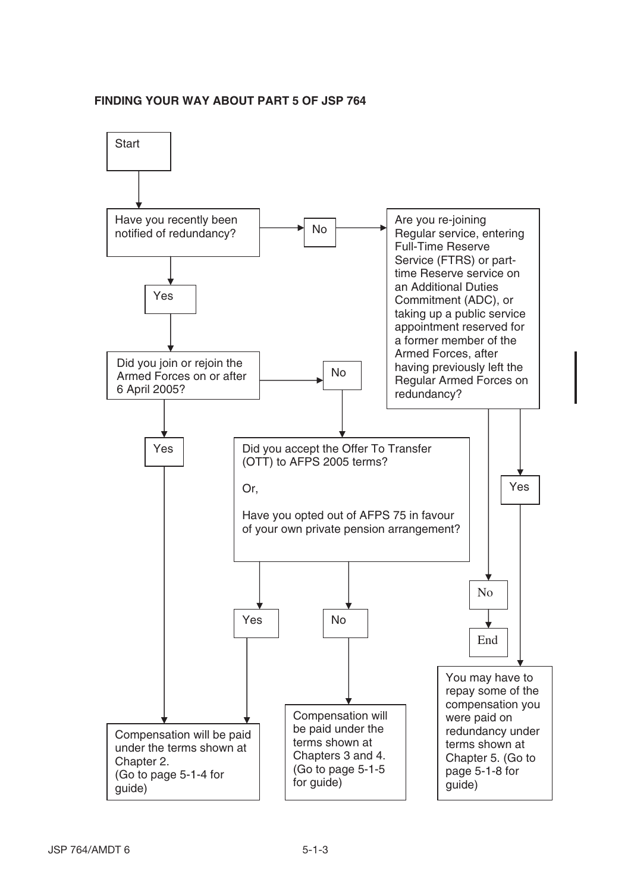#### **FINDING YOUR WAY ABOUT PART 5 OF JSP 764**

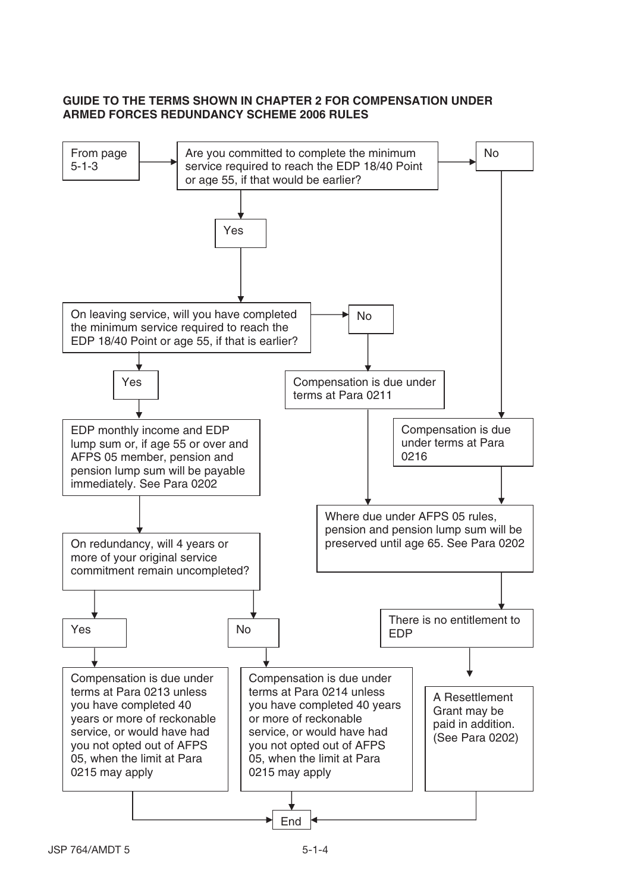### **GUIDE TO THE TERMS SHOWN IN CHAPTER 2 FOR COMPENSATION UNDER ARMED FORCES REDUNDANCY SCHEME 2006 RULES**

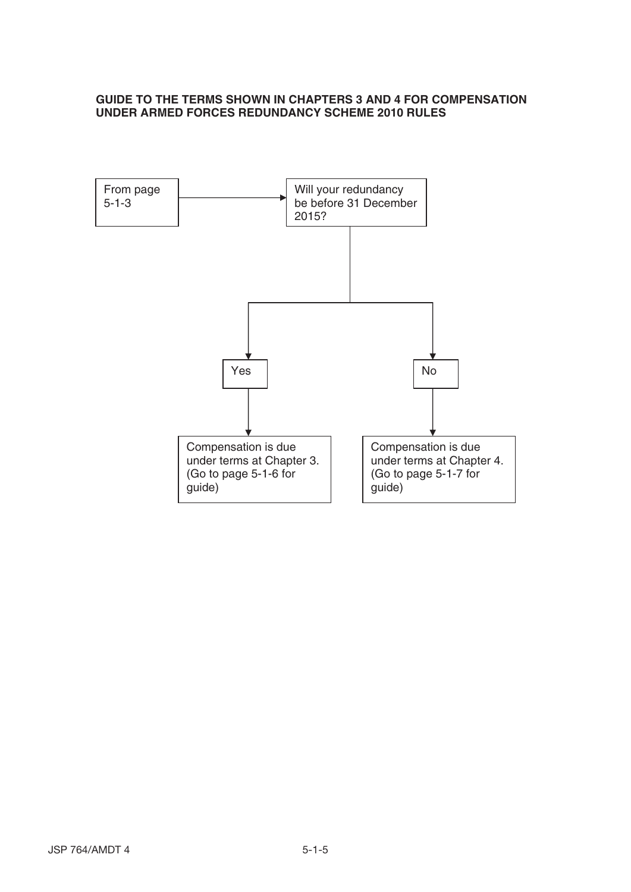#### **GUIDE TO THE TERMS SHOWN IN CHAPTERS 3 AND 4 FOR COMPENSATION UNDER ARMED FORCES REDUNDANCY SCHEME 2010 RULES**

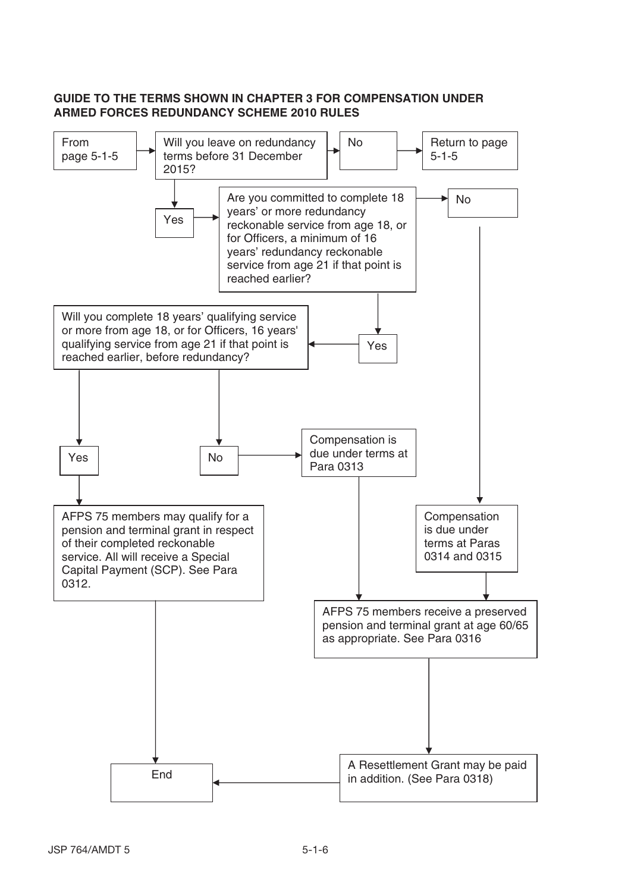### **GUIDE TO THE TERMS SHOWN IN CHAPTER 3 FOR COMPENSATION UNDER ARMED FORCES REDUNDANCY SCHEME 2010 RULES**

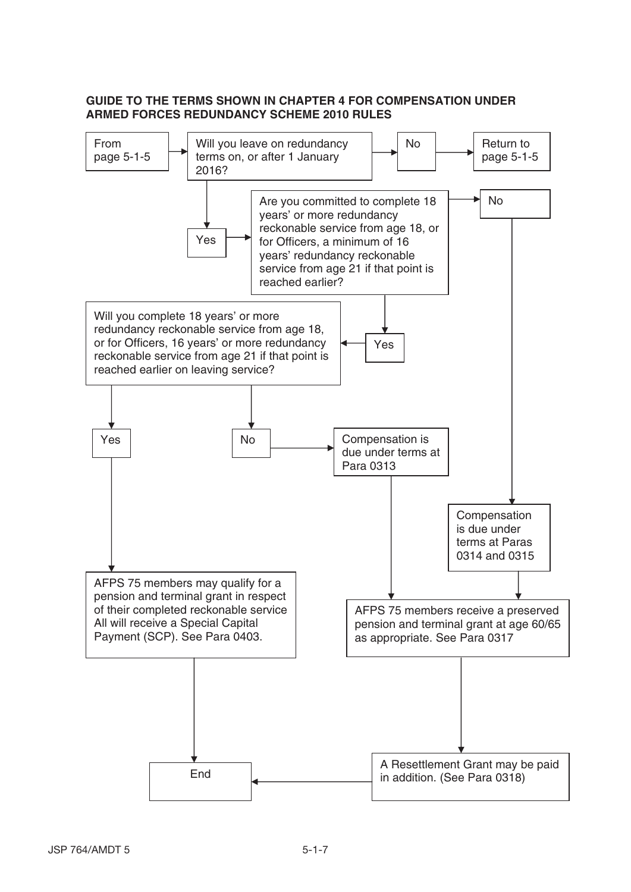### **GUIDE TO THE TERMS SHOWN IN CHAPTER 4 FOR COMPENSATION UNDER ARMED FORCES REDUNDANCY SCHEME 2010 RULES**

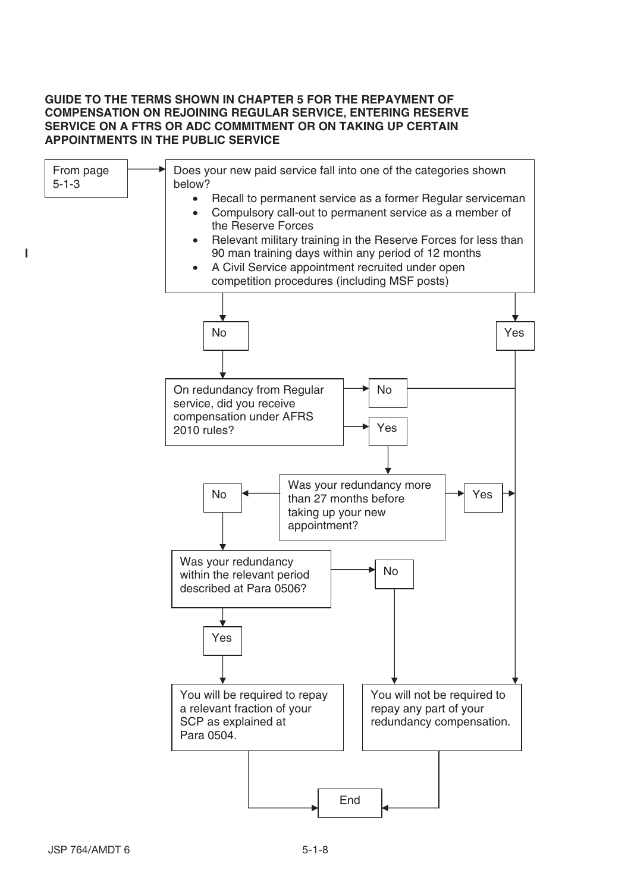#### **GUIDE TO THE TERMS SHOWN IN CHAPTER 5 FOR THE REPAYMENT OF COMPENSATION ON REJOINING REGULAR SERVICE, ENTERING RESERVE SERVICE ON A FTRS OR ADC COMMITMENT OR ON TAKING UP CERTAIN APPOINTMENTS IN THE PUBLIC SERVICE**

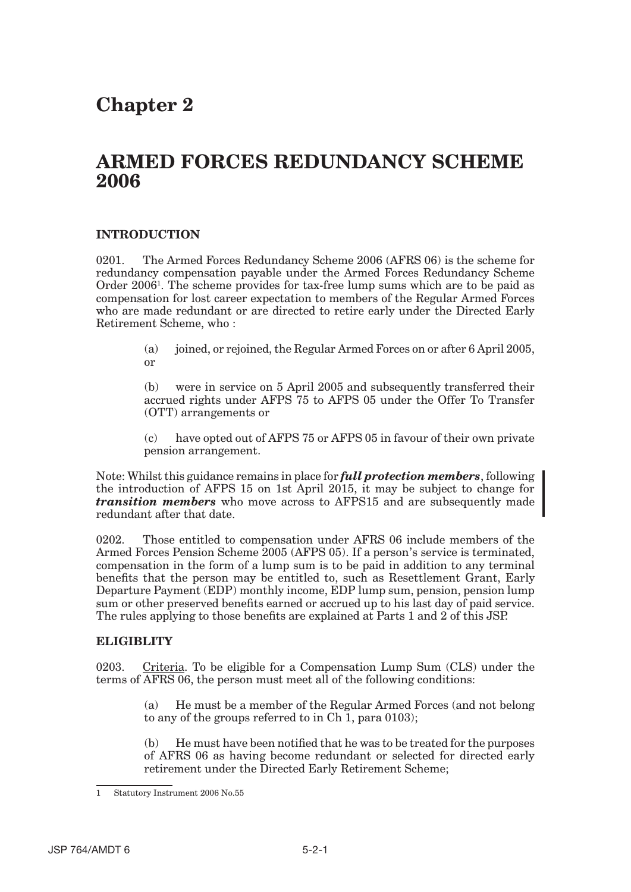# **Chapter 2**

## **ARMED FORCES REDUNDANCY SCHEME 2006**

#### **INTRODUCTION**

0201. The Armed Forces Redundancy Scheme 2006 (AFRS 06) is the scheme for redundancy compensation payable under the Armed Forces Redundancy Scheme Order 2006<sup>1</sup>. The scheme provides for tax-free lump sums which are to be paid as compensation for lost career expectation to members of the Regular Armed Forces who are made redundant or are directed to retire early under the Directed Early Retirement Scheme, who :

> (a) joined, or rejoined, the Regular Armed Forces on or after 6 April 2005, or

> (b) were in service on 5 April 2005 and subsequently transferred their accrued rights under AFPS 75 to AFPS 05 under the Offer To Transfer (OTT) arrangements or

> (c) have opted out of AFPS 75 or AFPS 05 in favour of their own private pension arrangement.

Note: Whilst this guidance remains in place for *full protection members*, following the introduction of AFPS 15 on 1st April 2015, it may be subject to change for *transition members* who move across to AFPS15 and are subsequently made redundant after that date.

0202. Those entitled to compensation under AFRS 06 include members of the Armed Forces Pension Scheme 2005 (AFPS 05). If a person's service is terminated, compensation in the form of a lump sum is to be paid in addition to any terminal benefits that the person may be entitled to, such as Resettlement Grant, Early Departure Payment (EDP) monthly income, EDP lump sum, pension, pension lump sum or other preserved benefits earned or accrued up to his last day of paid service. The rules applying to those benefits are explained at Parts 1 and 2 of this JSP.

#### **ELIGIBLITY**

0203. Criteria. To be eligible for a Compensation Lump Sum (CLS) under the terms of AFRS 06, the person must meet all of the following conditions:

> (a) He must be a member of the Regular Armed Forces (and not belong to any of the groups referred to in Ch 1, para 0103);

> (b) He must have been notified that he was to be treated for the purposes of AFRS 06 as having become redundant or selected for directed early retirement under the Directed Early Retirement Scheme;

<sup>1</sup> Statutory Instrument 2006 No.55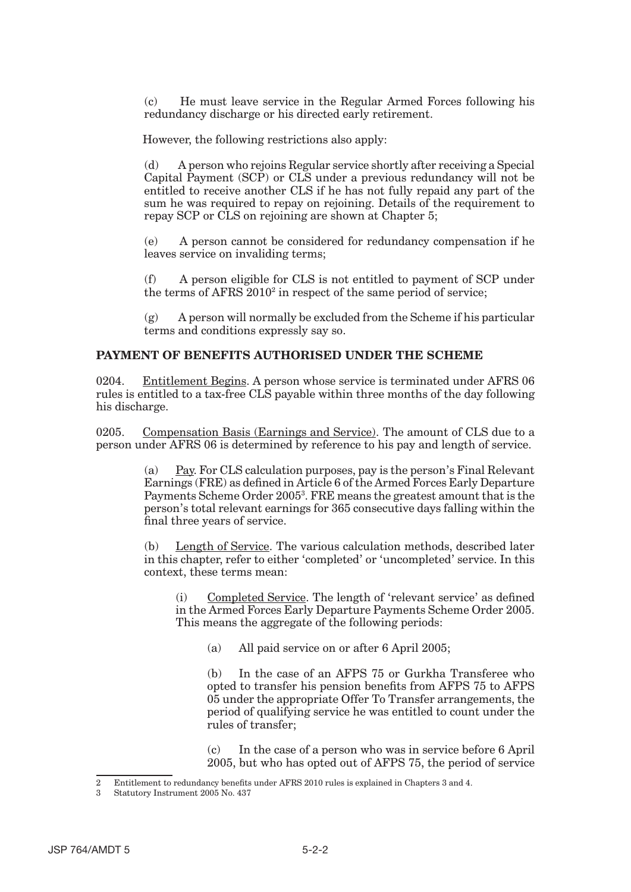(c) He must leave service in the Regular Armed Forces following his redundancy discharge or his directed early retirement.

However, the following restrictions also apply:

(d) A person who rejoins Regular service shortly after receiving a Special Capital Payment (SCP) or CLS under a previous redundancy will not be entitled to receive another CLS if he has not fully repaid any part of the sum he was required to repay on rejoining. Details of the requirement to repay SCP or CLS on rejoining are shown at Chapter 5;

(e) A person cannot be considered for redundancy compensation if he leaves service on invaliding terms;

(f) A person eligible for CLS is not entitled to payment of SCP under the terms of AFRS 2010<sup>2</sup> in respect of the same period of service;

(g) A person will normally be excluded from the Scheme if his particular terms and conditions expressly say so.

#### **PAYMENT OF BENEFITS AUTHORISED UNDER THE SCHEME**

0204. Entitlement Begins. A person whose service is terminated under AFRS 06 rules is entitled to a tax-free CLS payable within three months of the day following his discharge.

0205. Compensation Basis (Earnings and Service). The amount of CLS due to a person under AFRS 06 is determined by reference to his pay and length of service.

> (a) Pay. For CLS calculation purposes, pay is the person's Final Relevant Earnings (FRE) as defined in Article 6 of the Armed Forces Early Departure Payments Scheme Order 20053 . FRE means the greatest amount that is the person's total relevant earnings for 365 consecutive days falling within the final three years of service.

> Length of Service. The various calculation methods, described later in this chapter, refer to either 'completed' or 'uncompleted' service. In this context, these terms mean:

(i) Completed Service. The length of 'relevant service' as defined in the Armed Forces Early Departure Payments Scheme Order 2005. This means the aggregate of the following periods:

(a) All paid service on or after 6 April 2005;

(b) In the case of an AFPS 75 or Gurkha Transferee who opted to transfer his pension benefits from AFPS 75 to AFPS 05 under the appropriate Offer To Transfer arrangements, the period of qualifying service he was entitled to count under the rules of transfer;

(c) In the case of a person who was in service before 6 April 2005, but who has opted out of AFPS 75, the period of service

<sup>2</sup> Entitlement to redundancy benefits under AFRS 2010 rules is explained in Chapters 3 and 4.

<sup>3</sup> Statutory Instrument 2005 No. 437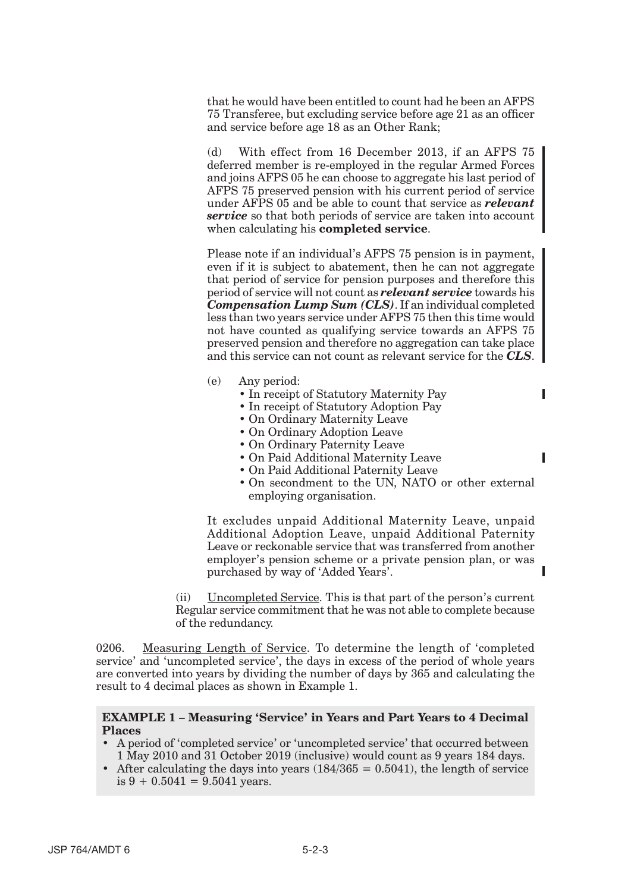that he would have been entitled to count had he been an AFPS 75 Transferee, but excluding service before age 21 as an officer and service before age 18 as an Other Rank;

(d) With effect from 16 December 2013, if an AFPS 75 deferred member is re-employed in the regular Armed Forces and joins AFPS 05 he can choose to aggregate his last period of AFPS 75 preserved pension with his current period of service under AFPS 05 and be able to count that service as *relevant service* so that both periods of service are taken into account when calculating his **completed service**.

Please note if an individual's AFPS 75 pension is in payment, even if it is subject to abatement, then he can not aggregate that period of service for pension purposes and therefore this period of service will not count as *relevant service* towards his *Compensation Lump Sum (CLS)*. If an individual completed less than two years service under AFPS 75 then this time would not have counted as qualifying service towards an AFPS 75 preserved pension and therefore no aggregation can take place and this service can not count as relevant service for the *CLS*.

- (e) Any period:
	- In receipt of Statutory Maternity Pay
	- In receipt of Statutory Adoption Pay
	- On Ordinary Maternity Leave
	- On Ordinary Adoption Leave
	- On Ordinary Paternity Leave
	- On Paid Additional Maternity Leave
	- On Paid Additional Paternity Leave
	- On secondment to the UN, NATO or other external employing organisation.

ı

It excludes unpaid Additional Maternity Leave, unpaid Additional Adoption Leave, unpaid Additional Paternity Leave or reckonable service that was transferred from another employer's pension scheme or a private pension plan, or was purchased by way of 'Added Years'.

(ii) Uncompleted Service. This is that part of the person's current Regular service commitment that he was not able to complete because of the redundancy.

0206. Measuring Length of Service. To determine the length of 'completed service' and 'uncompleted service', the days in excess of the period of whole years are converted into years by dividing the number of days by 365 and calculating the result to 4 decimal places as shown in Example 1.

#### **EXAMPLE 1 – Measuring 'Service' in Years and Part Years to 4 Decimal Places**

- • A period of 'completed service' or 'uncompleted service' that occurred between 1 May 2010 and 31 October 2019 (inclusive) would count as 9 years 184 days.
- After calculating the days into years  $(184/365 = 0.5041)$ , the length of service is  $9 + 0.5041 = 9.5041$  years.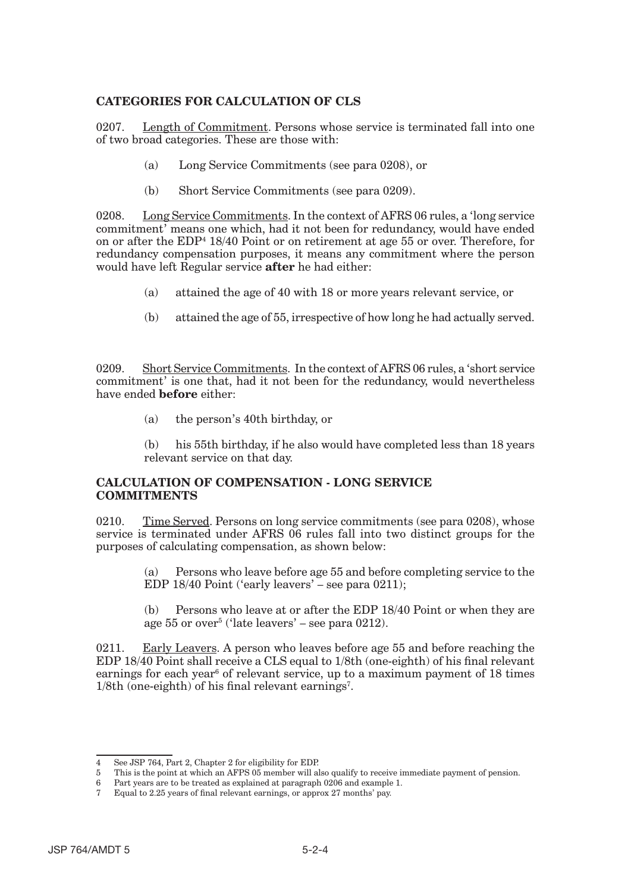### **CATEGORIES FOR CALCULATION OF CLS**

0207. Length of Commitment. Persons whose service is terminated fall into one of two broad categories. These are those with:

- (a) Long Service Commitments (see para 0208), or
- (b) Short Service Commitments (see para 0209).

0208. Long Service Commitments. In the context of AFRS 06 rules, a 'long service commitment' means one which, had it not been for redundancy, would have ended on or after the EDP4 18/40 Point or on retirement at age 55 or over. Therefore, for redundancy compensation purposes, it means any commitment where the person would have left Regular service **after** he had either:

- (a) attained the age of 40 with 18 or more years relevant service, or
- (b) attained the age of 55, irrespective of how long he had actually served.

0209. Short Service Commitments. In the context of AFRS 06 rules, a 'short service commitment' is one that, had it not been for the redundancy, would nevertheless have ended **before** either:

(a) the person's 40th birthday, or

(b) his 55th birthday, if he also would have completed less than 18 years relevant service on that day.

#### **CALCULATION OF COMPENSATION - LONG SERVICE COMMITMENTS**

0210. Time Served. Persons on long service commitments (see para 0208), whose service is terminated under AFRS 06 rules fall into two distinct groups for the purposes of calculating compensation, as shown below:

> (a) Persons who leave before age 55 and before completing service to the EDP 18/40 Point ('early leavers' – see para 0211);

> (b) Persons who leave at or after the EDP 18/40 Point or when they are age  $55$  or over<sup>5</sup> ('late leavers' – see para  $0212$ ).

0211. Early Leavers. A person who leaves before age 55 and before reaching the EDP 18/40 Point shall receive a CLS equal to 1/8th (one-eighth) of his final relevant earnings for each year<sup>6</sup> of relevant service, up to a maximum payment of 18 times 1/8th (one-eighth) of his final relevant earnings<sup>7</sup>.

<sup>4</sup> See JSP 764, Part 2, Chapter 2 for eligibility for EDP.

<sup>5</sup> This is the point at which an AFPS 05 member will also qualify to receive immediate payment of pension.

<sup>6</sup> Part years are to be treated as explained at paragraph 0206 and example 1.

<sup>7</sup> Equal to 2.25 years of final relevant earnings, or approx 27 months' pay.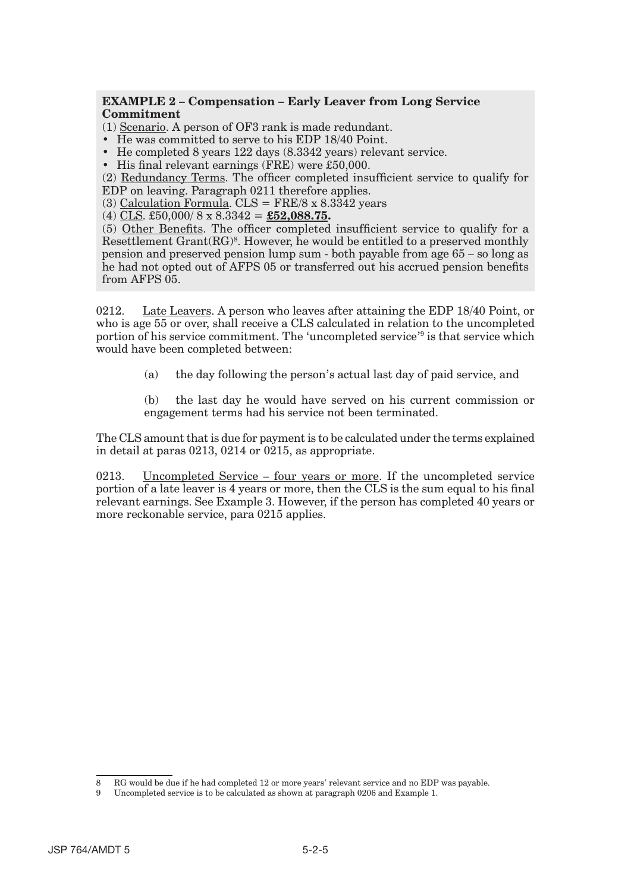#### **EXAMPLE 2 – Compensation – Early Leaver from Long Service Commitment**

(1) Scenario. A person of OF3 rank is made redundant.

- He was committed to serve to his EDP 18/40 Point.
- He completed 8 years 122 days (8.3342 years) relevant service.
- His final relevant earnings (FRE) were £50,000.

(2) Redundancy Terms. The officer completed insufficient service to qualify for EDP on leaving. Paragraph 0211 therefore applies.

(3) Calculation Formula.  $CLS = FRE/8 \times 8.3342$  years

(4) CLS. £50,000/ 8 x 8.3342 = **£52,088.75.** 

(5) Other Benefits. The officer completed insufficient service to qualify for a Resettlement  $Grant(RG)<sup>8</sup>$ . However, he would be entitled to a preserved monthly pension and preserved pension lump sum - both payable from age 65 – so long as he had not opted out of AFPS 05 or transferred out his accrued pension benefits from AFPS 05.

0212. Late Leavers. A person who leaves after attaining the EDP 18/40 Point, or who is age 55 or over, shall receive a CLS calculated in relation to the uncompleted portion of his service commitment. The 'uncompleted service'9 is that service which would have been completed between:

(a) the day following the person's actual last day of paid service, and

(b) the last day he would have served on his current commission or engagement terms had his service not been terminated.

The CLS amount that is due for payment is to be calculated under the terms explained in detail at paras 0213, 0214 or 0215, as appropriate.

0213. Uncompleted Service – four years or more. If the uncompleted service portion of a late leaver is 4 years or more, then the CLS is the sum equal to his final relevant earnings. See Example 3. However, if the person has completed 40 years or more reckonable service, para 0215 applies.

<sup>8</sup> RG would be due if he had completed 12 or more years' relevant service and no EDP was payable.

<sup>9</sup> Uncompleted service is to be calculated as shown at paragraph 0206 and Example 1.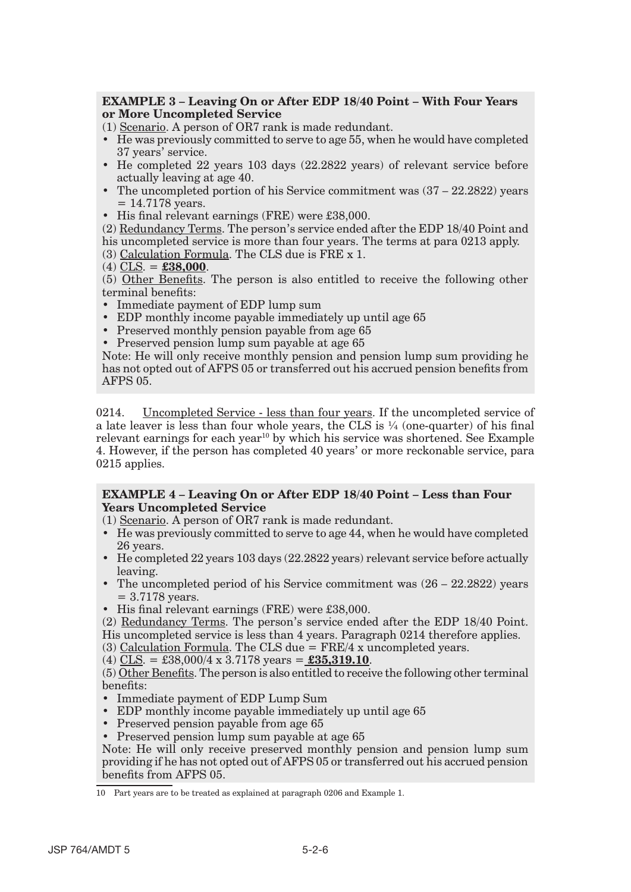#### **EXAMPLE 3 – Leaving On or After EDP 18/40 Point – With Four Years or More Uncompleted Service**

(1) Scenario. A person of OR7 rank is made redundant.

- • He was previously committed to serve to age 55, when he would have completed 37 years' service.
- He completed 22 years 103 days (22.2822 years) of relevant service before actually leaving at age 40.
- The uncompleted portion of his Service commitment was  $(37 22.2822)$  years  $= 14.7178$  years.
- His final relevant earnings (FRE) were £38,000.

(2) Redundancy Terms. The person's service ended after the EDP 18/40 Point and his uncompleted service is more than four years. The terms at para 0213 apply.

- (3) Calculation Formula. The CLS due is FRE x 1.
- (4) CLS. = **£38,000**.

(5) Other Benefits. The person is also entitled to receive the following other terminal benefits:

- Immediate payment of EDP lump sum
- EDP monthly income payable immediately up until age 65
- Preserved monthly pension payable from age 65
- Preserved pension lump sum payable at age 65

Note: He will only receive monthly pension and pension lump sum providing he has not opted out of AFPS 05 or transferred out his accrued pension benefits from AFPS 05.

0214. Uncompleted Service - less than four years. If the uncompleted service of a late leaver is less than four whole years, the CLS is  $\frac{1}{4}$  (one-quarter) of his final relevant earnings for each year<sup>10</sup> by which his service was shortened. See Example 4. However, if the person has completed 40 years' or more reckonable service, para 0215 applies.

#### **EXAMPLE 4 – Leaving On or After EDP 18/40 Point – Less than Four Years Uncompleted Service**

(1) Scenario. A person of OR7 rank is made redundant.

- • He was previously committed to serve to age 44, when he would have completed 26 years.
- • He completed 22 years 103 days (22.2822 years) relevant service before actually leaving.
- The uncompleted period of his Service commitment was  $(26 22.2822)$  years = 3.7178 years.
- His final relevant earnings (FRE) were £38,000.

(2) Redundancy Terms. The person's service ended after the EDP 18/40 Point. His uncompleted service is less than 4 years. Paragraph 0214 therefore applies.

(3) Calculation Formula. The CLS due = FRE/4 x uncompleted years.

```
(4) CLS. = £38,000/4 x 3.7178 years = £35,319.10.
```
(5) Other Benefits. The person is also entitled to receive the following other terminal benefits:

- Immediate payment of EDP Lump Sum
- EDP monthly income payable immediately up until age 65
- Preserved pension payable from age 65
- Preserved pension lump sum payable at age 65

Note: He will only receive preserved monthly pension and pension lump sum providing if he has not opted out of AFPS 05 or transferred out his accrued pension benefits from AFPS 05.

<sup>10</sup> Part years are to be treated as explained at paragraph 0206 and Example 1.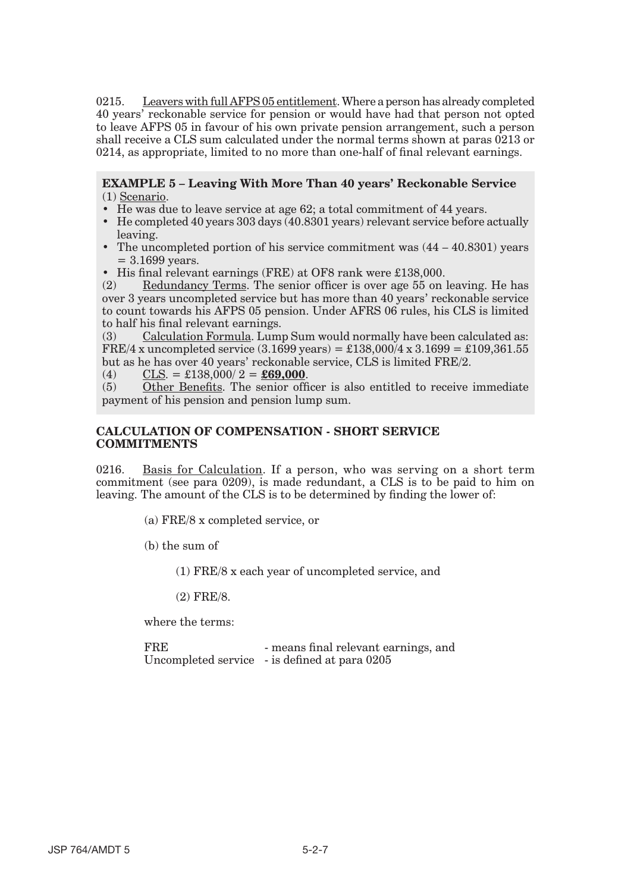0215. Leavers with full AFPS 05 entitlement. Where a person has already completed 40 years' reckonable service for pension or would have had that person not opted to leave AFPS 05 in favour of his own private pension arrangement, such a person shall receive a CLS sum calculated under the normal terms shown at paras 0213 or 0214, as appropriate, limited to no more than one-half of final relevant earnings.

**EXAMPLE 5 – Leaving With More Than 40 years' Reckonable Service**  (1) Scenario.

- He was due to leave service at age 62; a total commitment of 44 years.
- He completed 40 years 303 days  $(40.8301 \text{ years})$  relevant service before actually leaving.
- The uncompleted portion of his service commitment was  $(44 40.8301)$  years = 3.1699 years.
- His final relevant earnings (FRE) at OF8 rank were £138,000.

(2) Redundancy Terms. The senior officer is over age 55 on leaving. He has over 3 years uncompleted service but has more than 40 years' reckonable service to count towards his AFPS 05 pension. Under AFRS 06 rules, his CLS is limited to half his final relevant earnings.

(3) Calculation Formula. Lump Sum would normally have been calculated as: FRE/4 x uncompleted service  $(3.1699 \text{ years}) = \text{\textsterling}138,000/4 \text{ x } 3.1699 = \text{\textsterling}109,361.55$ but as he has over 40 years' reckonable service, CLS is limited FRE/2.

(4) CLS. =  $\pounds138,000/2 = \pounds69,000$ .

(5) Other Benefits. The senior officer is also entitled to receive immediate payment of his pension and pension lump sum.

#### **CALCULATION OF COMPENSATION - SHORT SERVICE COMMITMENTS**

0216. Basis for Calculation. If a person, who was serving on a short term commitment (see para 0209), is made redundant, a CLS is to be paid to him on leaving. The amount of the CLS is to be determined by finding the lower of:

(a) FRE/8 x completed service, or

(b) the sum of

(1) FRE/8 x each year of uncompleted service, and

(2) FRE/8.

where the terms:

FRE - means final relevant earnings, and Uncompleted service - is defined at para 0205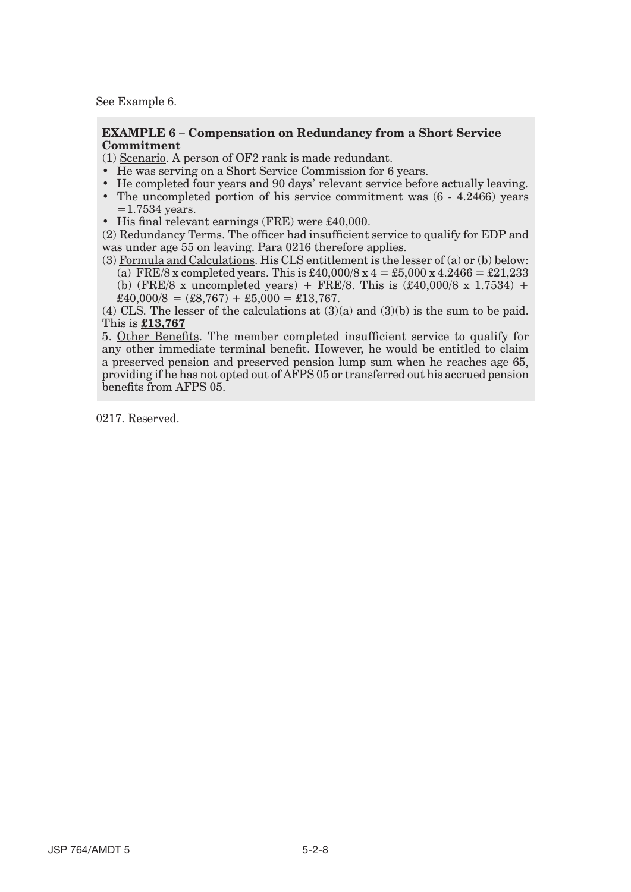See Example 6.

#### **EXAMPLE 6 – Compensation on Redundancy from a Short Service Commitment**

(1) Scenario. A person of OF2 rank is made redundant.

- He was serving on a Short Service Commission for 6 years.
- • He completed four years and 90 days' relevant service before actually leaving.
- The uncompleted portion of his service commitment was  $(6 4.2466)$  years  $=$  1.7534 years.
- His final relevant earnings (FRE) were £40,000.

(2) Redundancy Terms. The officer had insufficient service to qualify for EDP and was under age 55 on leaving. Para 0216 therefore applies.

(3) Formula and Calculations. His CLS entitlement is the lesser of (a) or (b) below: (a) FRE/8 x completed years. This is £40,000/8 x  $4 = £5,000 \text{ x } 4.2466 = £21,233$ (b) (FRE/8 x uncompleted years) + FRE/8. This is  $(\text{\pounds}40,000/8 \text{ x } 1.7534)$  +  $\pounds40,000/8 = (\pounds8,767) + \pounds5,000 = \pounds13,767.$ 

(4) CLS. The lesser of the calculations at (3)(a) and (3)(b) is the sum to be paid. This is **£13,767** 

5. Other Benefits. The member completed insufficient service to qualify for any other immediate terminal benefit. However, he would be entitled to claim a preserved pension and preserved pension lump sum when he reaches age 65, providing if he has not opted out of AFPS 05 or transferred out his accrued pension benefits from AFPS 05.

0217. Reserved.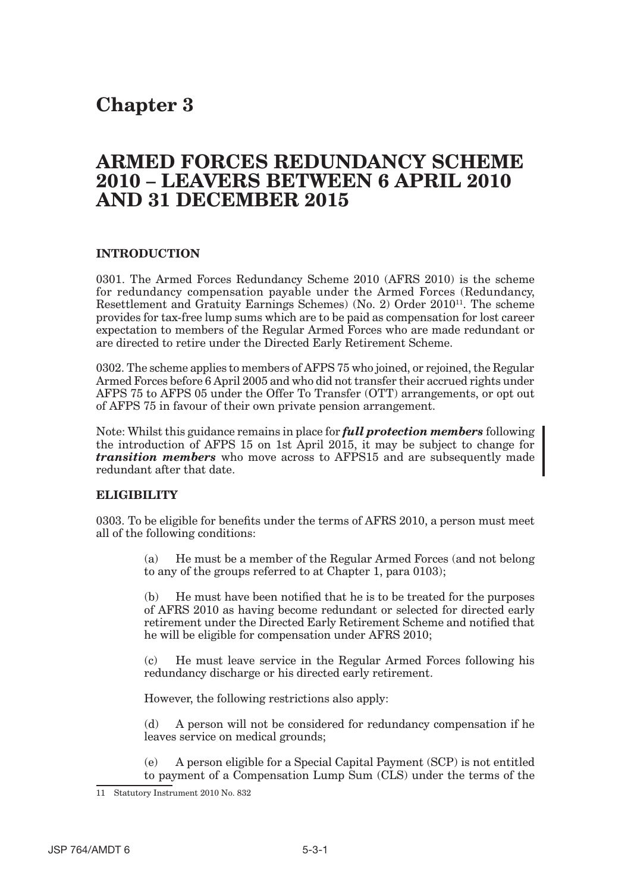## **Chapter 3**

## **ARMED FORCES REDUNDANCY SCHEME 2010 – LEAVERS BETWEEN 6 APRIL 2010 AND 31 DECEMBER 2015**

### **INTRODUCTION**

0301. The Armed Forces Redundancy Scheme 2010 (AFRS 2010) is the scheme for redundancy compensation payable under the Armed Forces (Redundancy, Resettlement and Gratuity Earnings Schemes) (No. 2) Order 201011. The scheme provides for tax-free lump sums which are to be paid as compensation for lost career expectation to members of the Regular Armed Forces who are made redundant or are directed to retire under the Directed Early Retirement Scheme.

0302. The scheme applies to members of AFPS 75 who joined, or rejoined, the Regular Armed Forces before 6 April 2005 and who did not transfer their accrued rights under AFPS 75 to AFPS 05 under the Offer To Transfer (OTT) arrangements, or opt out of AFPS 75 in favour of their own private pension arrangement.

Note: Whilst this guidance remains in place for *full protection members* following the introduction of AFPS 15 on 1st April 2015, it may be subject to change for *transition members* who move across to AFPS15 and are subsequently made redundant after that date.

#### **ELIGIBILITY**

0303. To be eligible for benefits under the terms of AFRS 2010, a person must meet all of the following conditions:

> (a) He must be a member of the Regular Armed Forces (and not belong to any of the groups referred to at Chapter 1, para 0103);

> (b) He must have been notified that he is to be treated for the purposes of AFRS 2010 as having become redundant or selected for directed early retirement under the Directed Early Retirement Scheme and notified that he will be eligible for compensation under AFRS 2010;

> (c) He must leave service in the Regular Armed Forces following his redundancy discharge or his directed early retirement.

However, the following restrictions also apply:

(d) A person will not be considered for redundancy compensation if he leaves service on medical grounds;

(e) A person eligible for a Special Capital Payment (SCP) is not entitled to payment of a Compensation Lump Sum (CLS) under the terms of the

<sup>11</sup> Statutory Instrument 2010 No. 832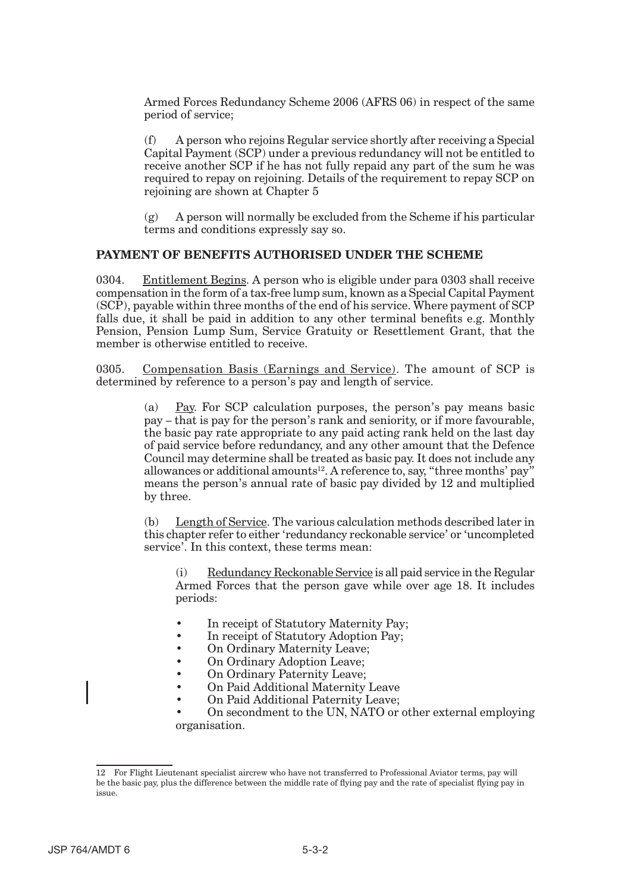Armed Forces Redundancy Scheme 2006 (AFRS 06) in respect of the same period of service;

(f) A person who rejoins Regular service shortly after receiving a Special Capital Payment (SCP) under a previous redundancy will not be entitled to receive another SCP if he has not fully repaid any part of the sum he was required to repay on rejoining. Details of the requirement to repay SCP on rejoining are shown at Chapter 5

 $(g)$  A person will normally be excluded from the Scheme if his particular terms and conditions expressly say so.

#### **PAYMENT OF BENEFITS AUTHORISED UNDER THE SCHEME**

0304. Entitlement Begins. A person who is eligible under para 0303 shall receive compensation in the form of a tax-free lump sum, known as a Special Capital Payment (SCP), payable within three months of the end of his service. Where payment of SCP falls due, it shall be paid in addition to any other terminal benefits e.g. Monthly Pension, Pension Lump Sum, Service Gratuity or Resettlement Grant, that the member is otherwise entitled to receive.

0305. Compensation Basis (Earnings and Service). The amount of SCP is determined by reference to a person's pay and length of service.

> (a) Pay. For SCP calculation purposes, the person's pay means basic pay – that is pay for the person's rank and seniority, or if more favourable, the basic pay rate appropriate to any paid acting rank held on the last day of paid service before redundancy, and any other amount that the Defence Council may determine shall be treated as basic pay. It does not include any allowances or additional amounts<sup>12</sup>. A reference to, say, "three months' pay" means the person's annual rate of basic pay divided by 12 and multiplied by three.

> (b) Length of Service. The various calculation methods described later in this chapter refer to either 'redundancy reckonable service' or 'uncompleted service'. In this context, these terms mean:

(i) Redundancy Reckonable Service is all paid service in the Regular Armed Forces that the person gave while over age 18. It includes periods:

- In receipt of Statutory Maternity Pay;
- In receipt of Statutory Adoption Pay;
- On Ordinary Maternity Leave;
- On Ordinary Adoption Leave;
- On Ordinary Paternity Leave;
- On Paid Additional Maternity Leave
- On Paid Additional Paternity Leave;

• On secondment to the UN, NATO or other external employing organisation.

<sup>12</sup> For Flight Lieutenant specialist aircrew who have not transferred to Professional Aviator terms, pay will be the basic pay, plus the difference between the middle rate of flying pay and the rate of specialist flying pay in issue.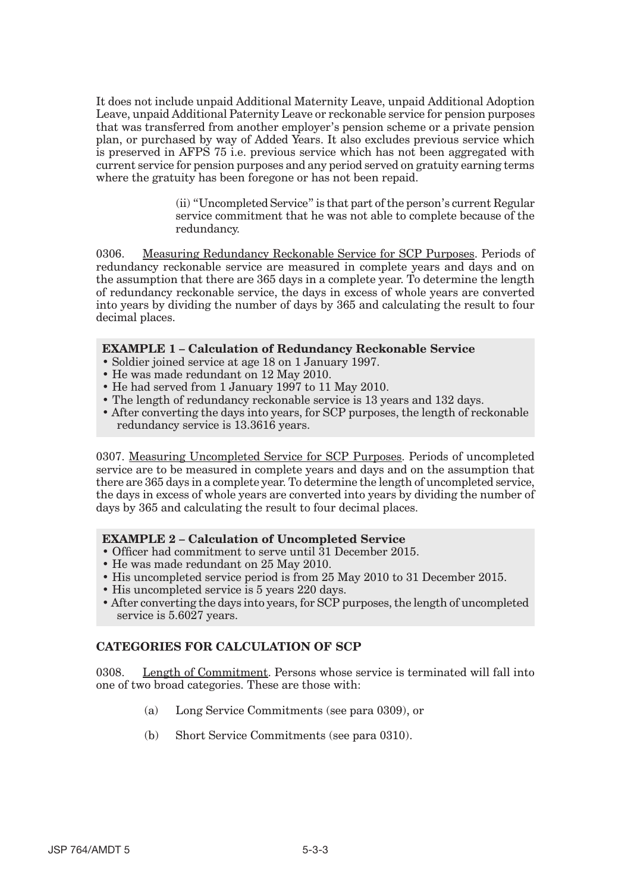It does not include unpaid Additional Maternity Leave, unpaid Additional Adoption Leave, unpaid Additional Paternity Leave or reckonable service for pension purposes that was transferred from another employer's pension scheme or a private pension plan, or purchased by way of Added Years. It also excludes previous service which is preserved in AFPS 75 i.e. previous service which has not been aggregated with current service for pension purposes and any period served on gratuity earning terms where the gratuity has been foregone or has not been repaid.

> (ii) "Uncompleted Service" is that part of the person's current Regular service commitment that he was not able to complete because of the redundancy.

0306. Measuring Redundancy Reckonable Service for SCP Purposes. Periods of redundancy reckonable service are measured in complete years and days and on the assumption that there are 365 days in a complete year. To determine the length of redundancy reckonable service, the days in excess of whole years are converted into years by dividing the number of days by 365 and calculating the result to four decimal places.

#### **EXAMPLE 1 – Calculation of Redundancy Reckonable Service**

- Soldier joined service at age 18 on 1 January 1997.
- He was made redundant on 12 May 2010.
- He had served from 1 January 1997 to 11 May 2010.
- The length of redundancy reckonable service is 13 years and 132 days.
- After converting the days into years, for SCP purposes, the length of reckonable redundancy service is 13.3616 years.

0307. Measuring Uncompleted Service for SCP Purposes. Periods of uncompleted service are to be measured in complete years and days and on the assumption that there are 365 days in a complete year. To determine the length of uncompleted service, the days in excess of whole years are converted into years by dividing the number of days by 365 and calculating the result to four decimal places.

#### **EXAMPLE 2 – Calculation of Uncompleted Service**

- Officer had commitment to serve until 31 December 2015.
- He was made redundant on 25 May 2010.
- His uncompleted service period is from 25 May 2010 to 31 December 2015.
- His uncompleted service is 5 years 220 days.
- After converting the days into years, for SCP purposes, the length of uncompleted service is 5.6027 years.

#### **CATEGORIES FOR CALCULATION OF SCP**

0308. Length of Commitment. Persons whose service is terminated will fall into one of two broad categories. These are those with:

- (a) Long Service Commitments (see para 0309), or
- (b) Short Service Commitments (see para 0310).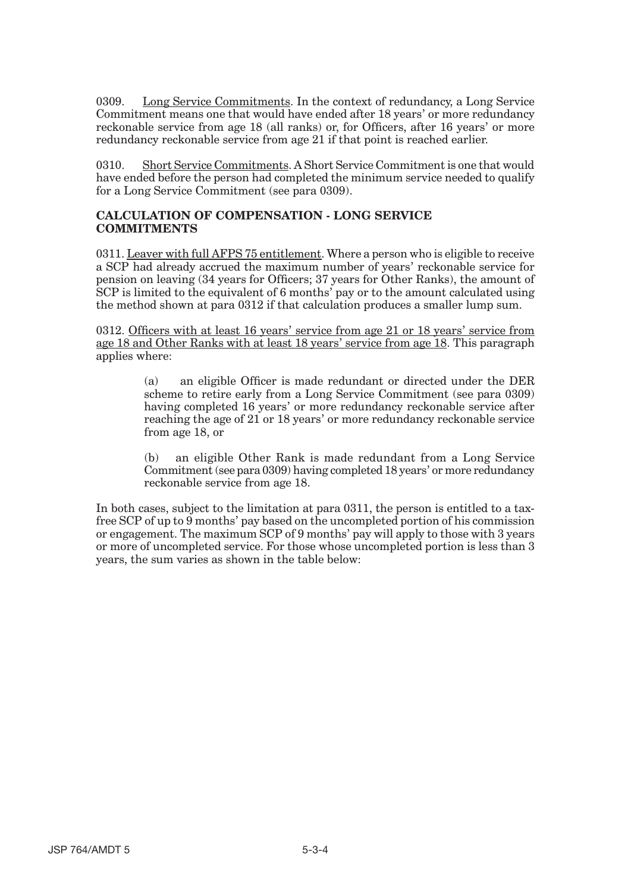0309. Long Service Commitments. In the context of redundancy, a Long Service Commitment means one that would have ended after 18 years' or more redundancy reckonable service from age 18 (all ranks) or, for Officers, after 16 years' or more redundancy reckonable service from age 21 if that point is reached earlier.

0310. Short Service Commitments. A Short Service Commitment is one that would have ended before the person had completed the minimum service needed to qualify for a Long Service Commitment (see para 0309).

#### **CALCULATION OF COMPENSATION - LONG SERVICE COMMITMENTS**

0311. Leaver with full AFPS 75 entitlement. Where a person who is eligible to receive a SCP had already accrued the maximum number of years' reckonable service for pension on leaving (34 years for Officers; 37 years for Other Ranks), the amount of SCP is limited to the equivalent of 6 months' pay or to the amount calculated using the method shown at para 0312 if that calculation produces a smaller lump sum.

0312. Officers with at least 16 years' service from age 21 or 18 years' service from age 18 and Other Ranks with at least 18 years' service from age 18. This paragraph applies where:

> (a) an eligible Officer is made redundant or directed under the DER scheme to retire early from a Long Service Commitment (see para 0309) having completed 16 years' or more redundancy reckonable service after reaching the age of 21 or 18 years' or more redundancy reckonable service from age 18, or

> (b) an eligible Other Rank is made redundant from a Long Service Commitment (see para 0309) having completed 18 years' or more redundancy reckonable service from age 18.

In both cases, subject to the limitation at para 0311, the person is entitled to a taxfree SCP of up to 9 months' pay based on the uncompleted portion of his commission or engagement. The maximum SCP of 9 months' pay will apply to those with 3 years or more of uncompleted service. For those whose uncompleted portion is less than 3 years, the sum varies as shown in the table below: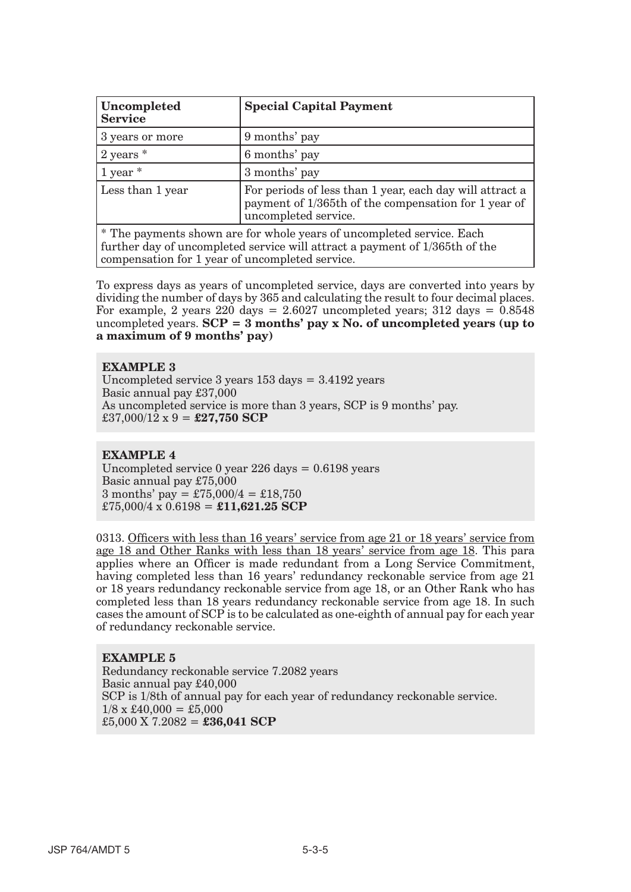| Uncompleted<br><b>Service</b> | <b>Special Capital Payment</b>                                                                                                           |
|-------------------------------|------------------------------------------------------------------------------------------------------------------------------------------|
| 3 years or more               | 9 months' pay                                                                                                                            |
| $ 2 \rangle$ years $*$        | 6 months' pay                                                                                                                            |
| $\frac{1}{2}$ year $*$        | 3 months' pay                                                                                                                            |
| Less than 1 year              | For periods of less than 1 year, each day will attract a<br>payment of 1/365th of the compensation for 1 year of<br>uncompleted service. |

\* The payments shown are for whole years of uncompleted service. Each further day of uncompleted service will attract a payment of 1/365th of the compensation for 1 year of uncompleted service.

To express days as years of uncompleted service, days are converted into years by dividing the number of days by 365 and calculating the result to four decimal places. For example, 2 years 220 days =  $2.6027$  uncompleted years; 312 days =  $0.8548$ uncompleted years. **SCP = 3 months' pay x No. of uncompleted years (up to a maximum of 9 months' pay)** 

#### **EXAMPLE 3**

Uncompleted service 3 years 153 days = 3.4192 years Basic annual pay £37,000 As uncompleted service is more than 3 years, SCP is 9 months' pay.  $\text{\pounds}37,000/12 \times 9 = \text{\pounds}27,750 \text{ SCP}$ 

#### **EXAMPLE 4**

Uncompleted service 0 year 226 days = 0.6198 years Basic annual pay £75,000 3 months' pay =  $\text{\pounds}75,000/4 = \text{\pounds}18,750$  $£75,000/4 \times 0.6198 = £11,621.25$  SCP

0313. Officers with less than 16 years' service from age 21 or 18 years' service from age 18 and Other Ranks with less than 18 years' service from age 18. This para applies where an Officer is made redundant from a Long Service Commitment, having completed less than 16 years' redundancy reckonable service from age 21 or 18 years redundancy reckonable service from age 18, or an Other Rank who has completed less than 18 years redundancy reckonable service from age 18. In such cases the amount of SCP is to be calculated as one-eighth of annual pay for each year of redundancy reckonable service.

#### **EXAMPLE 5**

Redundancy reckonable service 7.2082 years Basic annual pay £40,000 SCP is 1/8th of annual pay for each year of redundancy reckonable service.  $1/8 \times \text{\pounds}40,000 = \text{\pounds}5,000$ £5,000 X 7.2082 = **£36,041 SCP**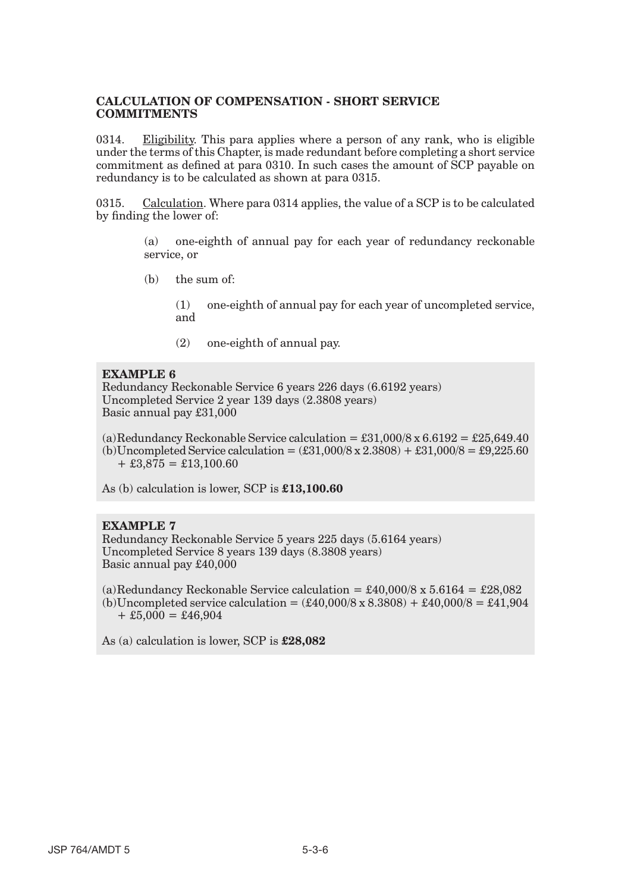#### **CALCULATION OF COMPENSATION - SHORT SERVICE COMMITMENTS**

0314. Eligibility. This para applies where a person of any rank, who is eligible under the terms of this Chapter, is made redundant before completing a short service commitment as defined at para 0310. In such cases the amount of SCP payable on redundancy is to be calculated as shown at para 0315.

0315. Calculation. Where para 0314 applies, the value of a SCP is to be calculated by finding the lower of:

> (a) one-eighth of annual pay for each year of redundancy reckonable service, or

(b) the sum of:

(1) one-eighth of annual pay for each year of uncompleted service, and

(2) one-eighth of annual pay.

#### **EXAMPLE 6**

Redundancy Reckonable Service 6 years 226 days (6.6192 years) Uncompleted Service 2 year 139 days (2.3808 years) Basic annual pay £31,000

(a)Redundancy Reckonable Service calculation =  $\pounds31,000/8 \times 6.6192 = \pounds25,649.40$ (b)Uncompleted Service calculation =  $(\text{\pounds}31,000/8 \times 2.3808) + \text{\pounds}31,000/8 = \text{\pounds}9,225.60$  $+ £3,875 = £13,100.60$ 

As (b) calculation is lower, SCP is **£13,100.60** 

#### **EXAMPLE 7**

Redundancy Reckonable Service 5 years 225 days (5.6164 years) Uncompleted Service 8 years 139 days (8.3808 years) Basic annual pay £40,000

(a)Redundancy Reckonable Service calculation =  $\text{\pounds}40,000/8 \times 5.6164 = \text{\pounds}28,082$ (b)Uncompleted service calculation =  $(\pounds 40,000/8 \times 8.3808) + \pounds 40,000/8 = \pounds 41,904$  $+ £5,000 = £46,904$ 

As (a) calculation is lower, SCP is **£28,082**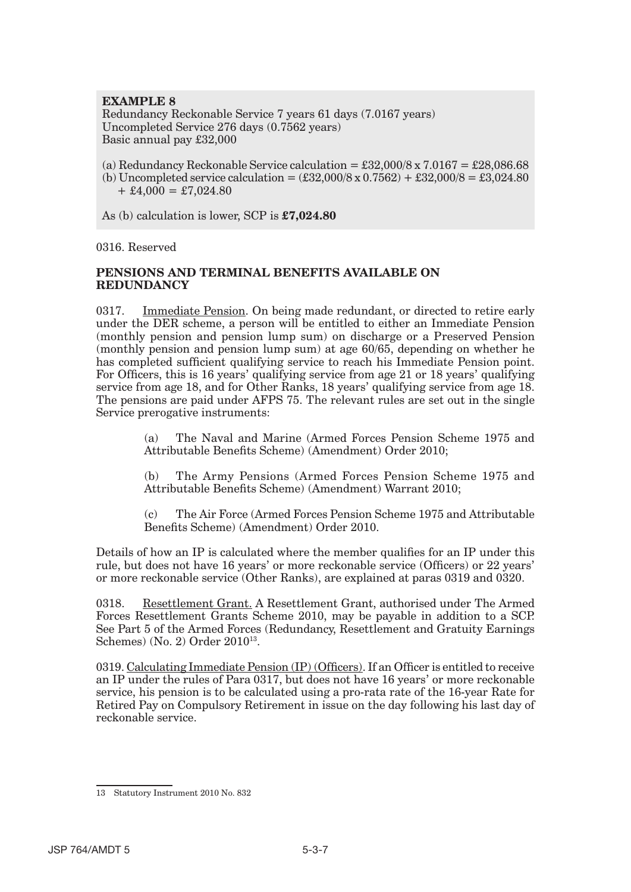### **EXAMPLE 8**

Redundancy Reckonable Service 7 years 61 days (7.0167 years) Uncompleted Service 276 days (0.7562 years) Basic annual pay £32,000

- (a) Redundancy Reckonable Service calculation =  $\text{\pounds}32,000/8 \times 7.0167 = \text{\pounds}28,086.68$
- (b) Uncompleted service calculation =  $(\text{\pounds}32,000/8 \times 0.7562) + \text{\pounds}32,000/8 = \text{\pounds}3,024.80$  $+ \pounds4,000 = \pounds7,024.80$

As (b) calculation is lower, SCP is **£7,024.80** 

0316. Reserved

#### **PENSIONS AND TERMINAL BENEFITS AVAILABLE ON REDUNDANCY**

0317. Immediate Pension. On being made redundant, or directed to retire early under the DER scheme, a person will be entitled to either an Immediate Pension (monthly pension and pension lump sum) on discharge or a Preserved Pension (monthly pension and pension lump sum) at age 60/65, depending on whether he has completed sufficient qualifying service to reach his Immediate Pension point. For Officers, this is 16 years' qualifying service from age 21 or 18 years' qualifying service from age 18, and for Other Ranks, 18 years' qualifying service from age 18. The pensions are paid under AFPS 75. The relevant rules are set out in the single Service prerogative instruments:

> (a) The Naval and Marine (Armed Forces Pension Scheme 1975 and Attributable Benefits Scheme) (Amendment) Order 2010;

> (b) The Army Pensions (Armed Forces Pension Scheme 1975 and Attributable Benefits Scheme) (Amendment) Warrant 2010;

> (c) The Air Force (Armed Forces Pension Scheme 1975 and Attributable Benefits Scheme) (Amendment) Order 2010.

Details of how an IP is calculated where the member qualifies for an IP under this rule, but does not have 16 years' or more reckonable service (Officers) or 22 years' or more reckonable service (Other Ranks), are explained at paras 0319 and 0320.

0318. Resettlement Grant. A Resettlement Grant, authorised under The Armed Forces Resettlement Grants Scheme 2010, may be payable in addition to a SCP. See Part 5 of the Armed Forces (Redundancy, Resettlement and Gratuity Earnings Schemes) (No. 2) Order 201013.

0319. Calculating Immediate Pension (IP) (Officers). If an Officer is entitled to receive an IP under the rules of Para 0317, but does not have 16 years' or more reckonable service, his pension is to be calculated using a pro-rata rate of the 16-year Rate for Retired Pay on Compulsory Retirement in issue on the day following his last day of reckonable service.

<sup>13</sup> Statutory Instrument 2010 No. 832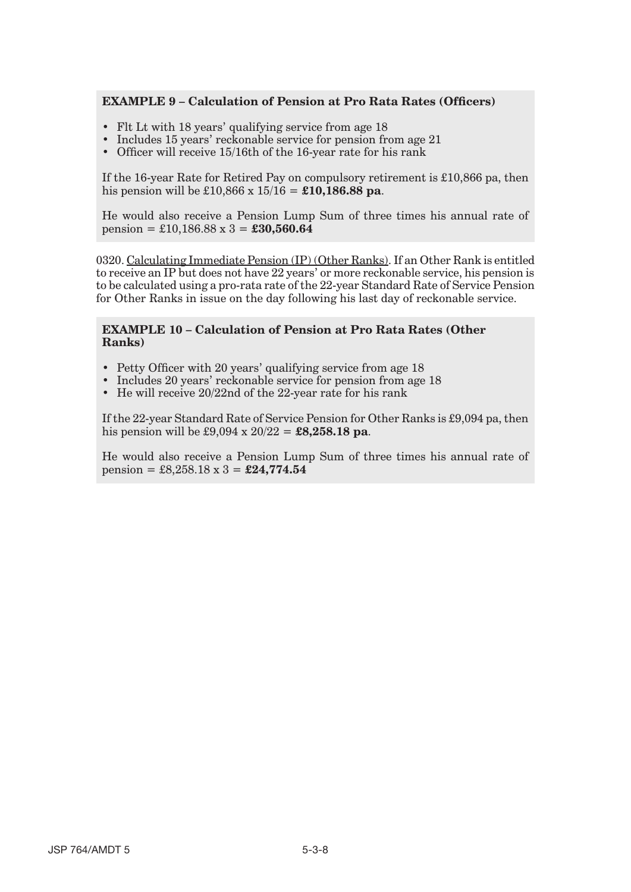#### **EXAMPLE 9 – Calculation of Pension at Pro Rata Rates (Officers)**

- Flt Lt with 18 years' qualifying service from age 18
- Includes 15 years' reckonable service for pension from age 21
- Officer will receive 15/16th of the 16-year rate for his rank

If the 16-year Rate for Retired Pay on compulsory retirement is £10,866 pa, then his pension will be £10,866 x 15/16 = **£10,186.88 pa**.

He would also receive a Pension Lump Sum of three times his annual rate of pension = £10,186.88 x 3 = **£30,560.64** 

0320. Calculating Immediate Pension (IP) (Other Ranks). If an Other Rank is entitled to receive an IP but does not have 22 years' or more reckonable service, his pension is to be calculated using a pro-rata rate of the 22-year Standard Rate of Service Pension for Other Ranks in issue on the day following his last day of reckonable service.

#### **EXAMPLE 10 – Calculation of Pension at Pro Rata Rates (Other Ranks)**

- Petty Officer with 20 years' qualifying service from age 18
- Includes 20 years' reckonable service for pension from age 18
- He will receive 20/22nd of the 22-year rate for his rank

If the 22-year Standard Rate of Service Pension for Other Ranks is £9,094 pa, then his pension will be £9,094 x 20/22 = **£8,258.18 pa**.

He would also receive a Pension Lump Sum of three times his annual rate of pension = £8,258.18 x 3 = **£24,774.54**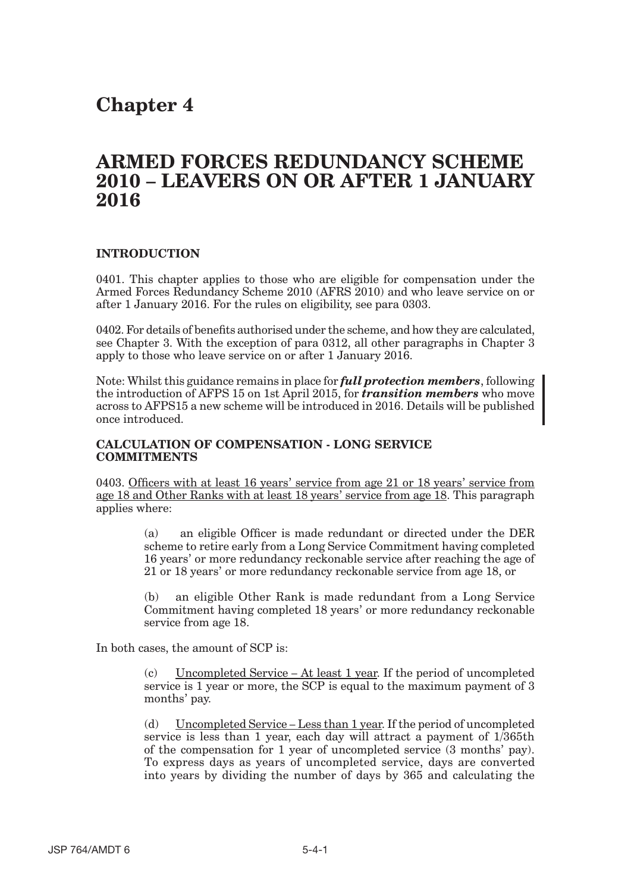## **Chapter 4**

## **ARMED FORCES REDUNDANCY SCHEME 2010 – LEAVERS ON OR AFTER 1 JANUARY 2016**

#### **INTRODUCTION**

0401. This chapter applies to those who are eligible for compensation under the Armed Forces Redundancy Scheme 2010 (AFRS 2010) and who leave service on or after 1 January 2016. For the rules on eligibility, see para 0303.

0402. For details of benefits authorised under the scheme, and how they are calculated, see Chapter 3. With the exception of para 0312, all other paragraphs in Chapter 3 apply to those who leave service on or after 1 January 2016.

Note: Whilst this guidance remains in place for *full protection members*, following the introduction of AFPS 15 on 1st April 2015, for *transition members* who move across to AFPS15 a new scheme will be introduced in 2016. Details will be published once introduced.

#### **CALCULATION OF COMPENSATION - LONG SERVICE COMMITMENTS**

0403. Officers with at least 16 years' service from age 21 or 18 years' service from age 18 and Other Ranks with at least 18 years' service from age 18. This paragraph applies where:

> (a) an eligible Officer is made redundant or directed under the DER scheme to retire early from a Long Service Commitment having completed 16 years' or more redundancy reckonable service after reaching the age of 21 or 18 years' or more redundancy reckonable service from age 18, or

> (b) an eligible Other Rank is made redundant from a Long Service Commitment having completed 18 years' or more redundancy reckonable service from age 18.

In both cases, the amount of SCP is:

(c) Uncompleted Service – At least 1 year. If the period of uncompleted service is 1 year or more, the SCP is equal to the maximum payment of 3 months' pay.

(d) Uncompleted Service – Less than 1 year. If the period of uncompleted service is less than 1 year, each day will attract a payment of 1/365th of the compensation for 1 year of uncompleted service (3 months' pay). To express days as years of uncompleted service, days are converted into years by dividing the number of days by 365 and calculating the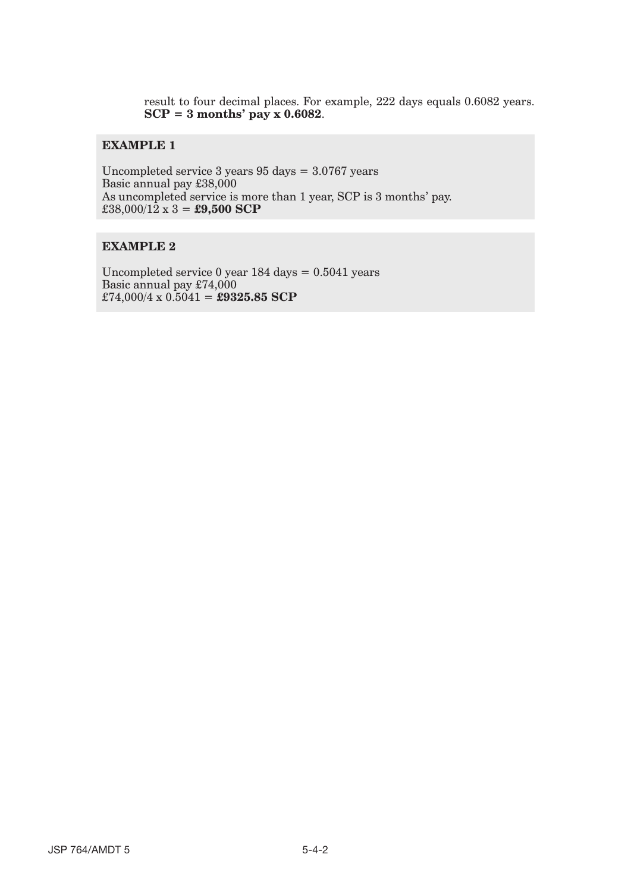result to four decimal places. For example, 222 days equals 0.6082 years. **SCP = 3 months' pay x 0.6082**.

## **EXAMPLE 1**

Uncompleted service 3 years 95 days = 3.0767 years Basic annual pay £38,000 As uncompleted service is more than 1 year, SCP is 3 months' pay. £38,000/12 x 3 = **£9,500 SCP** 

#### **EXAMPLE 2**

Uncompleted service 0 year 184 days = 0.5041 years Basic annual pay £74,000  $\text{\pounds}74,000/4 \times 0.5041 = \text{\pounds}9325.85 \text{ SCP}$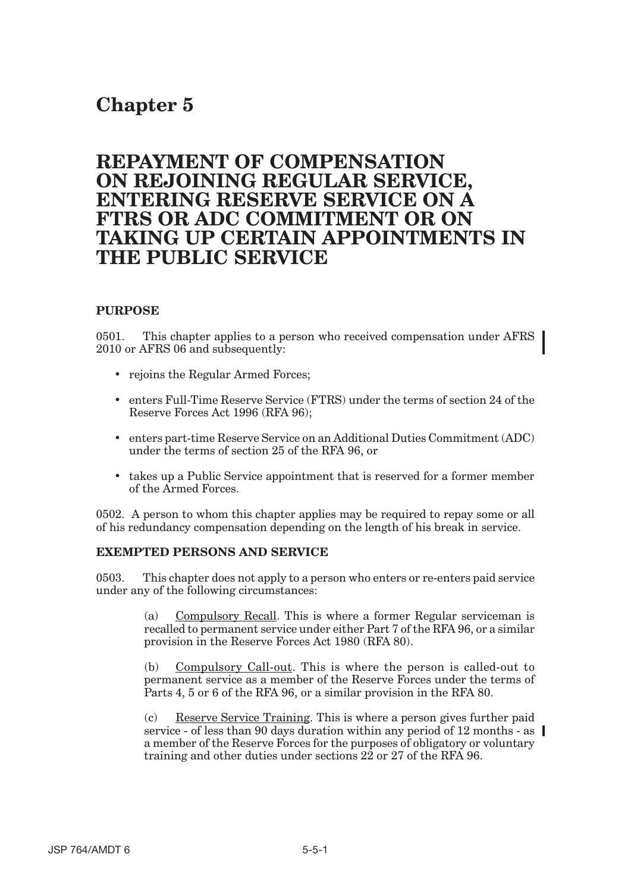# **Chapter 5**

## **REPAYMENT OF COMPENSATION ON REJOINING REGULAR SERVICE, ENTERING RESERVE SERVICE ON A FTRS OR ADC COMMITMENT OR ON TAKING UP CERTAIN APPOINTMENTS IN THE PUBLIC SERVICE**

### **PURPOSE**

0501. This chapter applies to a person who received compensation under AFRS 2010 or AFRS 06 and subsequently:

- rejoins the Regular Armed Forces;
- • enters Full-Time Reserve Service (FTRS) under the terms of section 24 of the Reserve Forces Act 1996 (RFA 96);
- • enters part-time Reserve Service on an Additional Duties Commitment (ADC) under the terms of section 25 of the RFA 96, or
- takes up a Public Service appointment that is reserved for a former member of the Armed Forces.

0502. A person to whom this chapter applies may be required to repay some or all of his redundancy compensation depending on the length of his break in service.

### **EXEMPTED PERSONS AND SERVICE**

0503. This chapter does not apply to a person who enters or re-enters paid service under any of the following circumstances:

> (a) Compulsory Recall. This is where a former Regular serviceman is recalled to permanent service under either Part 7 of the RFA 96, or a similar provision in the Reserve Forces Act 1980 (RFA 80).

> (b) Compulsory Call-out. This is where the person is called-out to permanent service as a member of the Reserve Forces under the terms of Parts 4, 5 or 6 of the RFA 96, or a similar provision in the RFA 80.

(c) Reserve Service Training. This is where a person gives further paid service - of less than 90 days duration within any period of 12 months - as  $\parallel$ a member of the Reserve Forces for the purposes of obligatory or voluntary training and other duties under sections 22 or 27 of the RFA 96.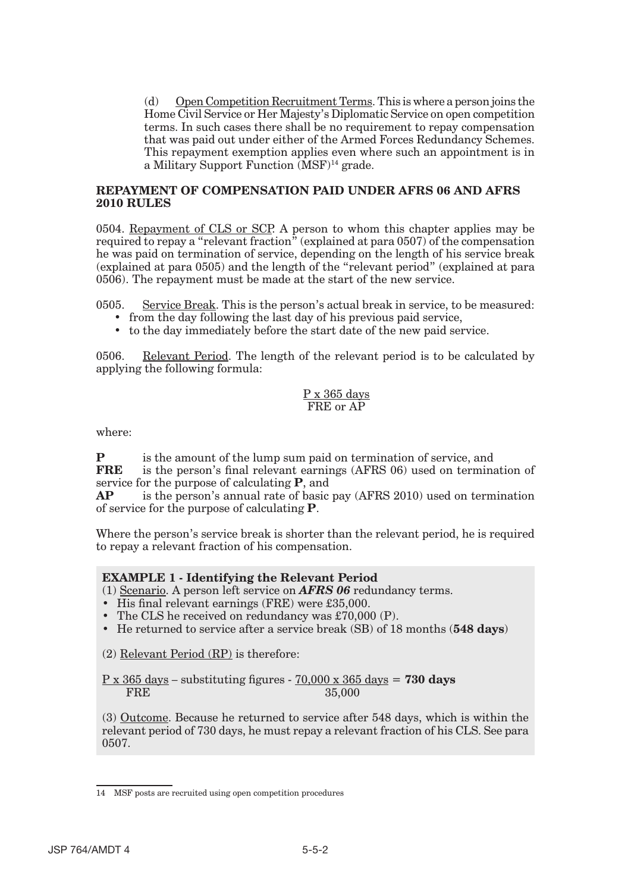(d) Open Competition Recruitment Terms. This is where a person joins the Home Civil Service or Her Majesty's Diplomatic Service on open competition terms. In such cases there shall be no requirement to repay compensation that was paid out under either of the Armed Forces Redundancy Schemes. This repayment exemption applies even where such an appointment is in a Military Support Function (MSF)14 grade.

#### **REPAYMENT OF COMPENSATION PAID UNDER AFRS 06 AND AFRS 2010 RULES**

0504. Repayment of CLS or SCP. A person to whom this chapter applies may be required to repay a "relevant fraction" (explained at para 0507) of the compensation he was paid on termination of service, depending on the length of his service break (explained at para 0505) and the length of the "relevant period" (explained at para 0506). The repayment must be made at the start of the new service.

0505. Service Break. This is the person's actual break in service, to be measured:

- from the day following the last day of his previous paid service,
- to the day immediately before the start date of the new paid service.

0506. Relevant Period. The length of the relevant period is to be calculated by applying the following formula:

#### P x 365 days FRE or AP

where:

**P** is the amount of the lump sum paid on termination of service, and **FRE** is the person's final relevant earnings (AFRS 06) used on termination of service for the purpose of calculating **P**, and

**AP** is the person's annual rate of basic pay (AFRS 2010) used on termination of service for the purpose of calculating **P**.

Where the person's service break is shorter than the relevant period, he is required to repay a relevant fraction of his compensation.

#### **EXAMPLE 1 - Identifying the Relevant Period**

(1) Scenario. A person left service on *AFRS 06* redundancy terms.

- His final relevant earnings (FRE) were £35,000.
- The CLS he received on redundancy was £70,000 (P).
- He returned to service after a service break (SB) of 18 months (**548 days**)

(2) Relevant Period (RP) is therefore:

P x 365 days – substituting figures - 70,000 x 365 days = **730 days FRE** 35,000

(3) Outcome. Because he returned to service after 548 days, which is within the relevant period of 730 days, he must repay a relevant fraction of his CLS. See para 0507.

<sup>14</sup> MSF posts are recruited using open competition procedures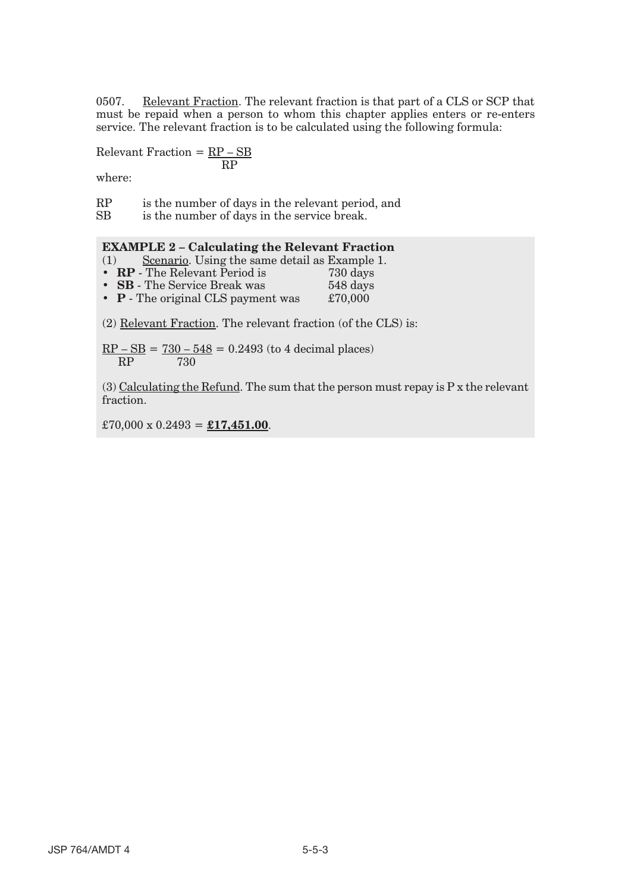0507. Relevant Fraction. The relevant fraction is that part of a CLS or SCP that must be repaid when a person to whom this chapter applies enters or re-enters service. The relevant fraction is to be calculated using the following formula:

$$
Relevant Fraction = \frac{RP - SB}{RP}
$$

where:

RP is the number of days in the relevant period, and

SB is the number of days in the service break.

#### **EXAMPLE 2 – Calculating the Relevant Fraction**

(1) Scenario. Using the same detail as Example 1.<br>•  $\mathbf{RP}$  - The Relevant Period is 730 days

- **RP** The Relevant Period is
- **SB** The Service Break was 548 days<br>• **P** The original CLS payment was £70,000
- **P** The original CLS payment was

(2) Relevant Fraction. The relevant fraction (of the CLS) is:

 $RP - SB = 730 - 548 = 0.2493$  (to 4 decimal places) RP 730

(3) Calculating the Refund. The sum that the person must repay is  $P x$  the relevant fraction.

 $£70,000 \times 0.2493 = £17,451.00.$